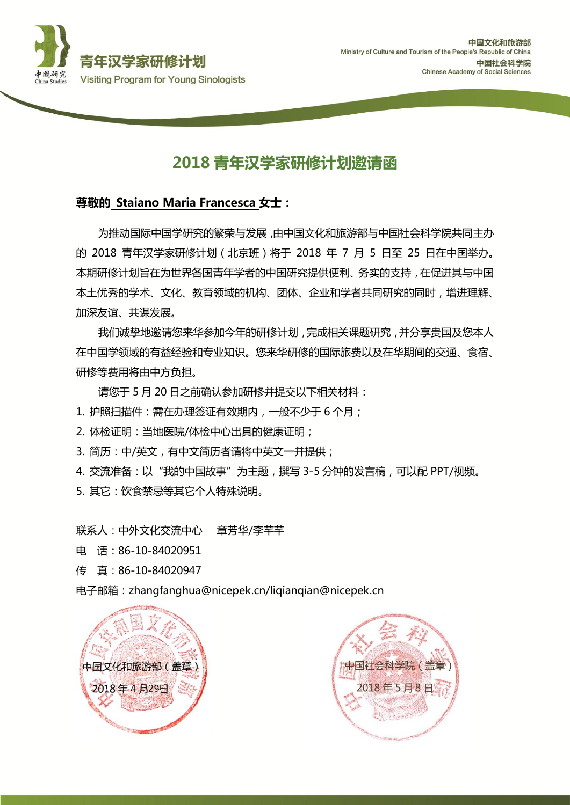

## 2018 青年汉学家研修计划邀请函

## 尊敬的 Staiano Maria Francesca 女士:

为推劢国际中国学研究的繁荣与发展,由中国文化和旅游部与中国社会科学院共同主办 的 2018 青年汉学家研修计划(北京班)将于 2018 年 7 月 5 日至 25 日在中国举办。 本期研修计划旨在为世界各国青年学者的中国研究提供便利、务实的支持,在促进其与中国 本土优秀的学术、文化、教育领域的机构、团体、企业和学者共同研究的同时,增进理解、 加深友谊、共谋发展。

我们诚挚地邀请您来华参加今年的研修计划,完成相关课题研究,并分享贵国及您本人 在中国学领域的有益经验和丏业知识。您来华研修的国际旅费以及在华期间的交通、食宿、 研修等费用将由中方负担。

请您于 5 月 20 日之前确认参加研修并提交以下相关材料:

1. 护照扫描件:需在办理签证有效期内, 一般不少于 6 个月;

- 2. 体检证明:当地医院/体检中心出具的健康证明;
- 3. 简历: 中/英文, 有中文简历者请将中英文一并提供;

4. 交流准备:以"我的中国故事"为主题,撰写 3-5 分钟的发言稿,可以配 PPT/视频。

5. 其它:饮食禁忌等其它个人特殊说明。

联系人:中外文化交流中心 章芳华/李芊芊 电 话:86-10-84020951 传 真:86-10-84020947

电子邮箱:zhangfanghua@nicepek.cn/liqianqian@nicepek.cn